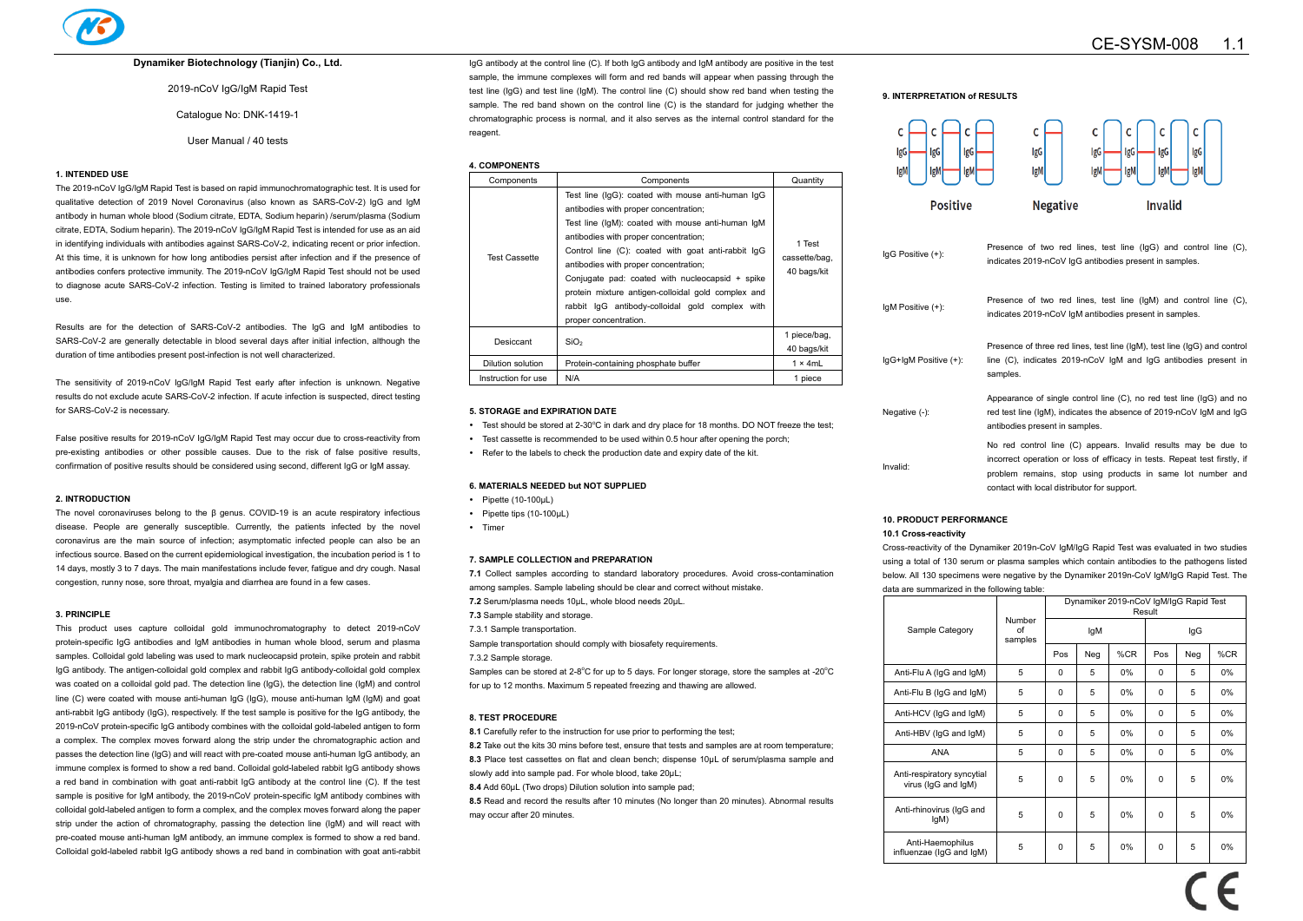# CE-SYSM-008 1.1

# **Dynamiker Biotechnology (Tianjin) Co., Ltd.**

- 2019-nCoV IgG/IgM Rapid Test
- Catalogue No: DNK-1419-1
- User Manual / 40 tests

# **1. INTENDED USE**

The 2019-nCoV IgG/IgM Rapid Test is based on rapid immunochromatographic test. It is used for qualitative detection of 2019 Novel Coronavirus (also known as SARS-CoV-2) IgG and IgM antibody in human whole blood (Sodium citrate, EDTA, Sodium heparin) /serum/plasma (Sodium citrate, EDTA, Sodium heparin). The 2019-nCoV IgG/IgM Rapid Test is intended for use as an aid in identifying individuals with antibodies against SARS-CoV-2, indicating recent or prior infection. At this time, it is unknown for how long antibodies persist after infection and if the presence of antibodies confers protective immunity. The 2019-nCoV IgG/IgM Rapid Test should not be used to diagnose acute SARS-CoV-2 infection. Testing is limited to trained laboratory professionals use.

Results are for the detection of SARS-CoV-2 antibodies. The IgG and IgM antibodies to SARS-CoV-2 are generally detectable in blood several days after initial infection, although the duration of time antibodies present post-infection is not well characterized.

The sensitivity of 2019-nCoV IgG/IgM Rapid Test early after infection is unknown. Negative results do not exclude acute SARS-CoV-2 infection. If acute infection is suspected, direct testing for SARS-CoV-2 is necessary.

False positive results for 2019-nCoV IgG/IgM Rapid Test may occur due to cross-reactivity from pre-existing antibodies or other possible causes. Due to the risk of false positive results, confirmation of positive results should be considered using second, different IgG or IgM assay.

# **2. INTRODUCTION**

The novel coronaviruses belong to the β genus. COVID-19 is an acute respiratory infectious disease. People are generally susceptible. Currently, the patients infected by the novel coronavirus are the main source of infection; asymptomatic infected people can also be an infectious source. Based on the current epidemiological investigation, the incubation period is 1 to 14 days, mostly 3 to 7 days. The main manifestations include fever, fatigue and dry cough. Nasal congestion, runny nose, sore throat, myalgia and diarrhea are found in a few cases.

#### **3. PRINCIPLE**

This product uses capture colloidal gold immunochromatography to detect 2019-nCoV protein-specific IgG antibodies and IgM antibodies in human whole blood, serum and plasma samples. Colloidal gold labeling was used to mark nucleocapsid protein, spike protein and rabbit IgG antibody. The antigen-colloidal gold complex and rabbit IgG antibody-colloidal gold complex was coated on a colloidal gold pad. The detection line (IgG), the detection line (IgM) and control line (C) were coated with mouse anti-human IgG (IgG), mouse anti-human IgM (IgM) and goat anti-rabbit IgG antibody (IgG), respectively. If the test sample is positive for the IgG antibody, the 2019-nCoV protein-specific IgG antibody combines with the colloidal gold-labeled antigen to form a complex. The complex moves forward along the strip under the chromatographic action and passes the detection line (IgG) and will react with pre-coated mouse anti-human IgG antibody, an immune complex is formed to show a red band. Colloidal gold-labeled rabbit IgG antibody shows a red band in combination with goat anti-rabbit IgG antibody at the control line (C). If the test sample is positive for IgM antibody, the 2019-nCoV protein-specific IgM antibody combines with colloidal gold-labeled antigen to form a complex, and the complex moves forward along the paper strip under the action of chromatography, passing the detection line (IgM) and will react with pre-coated mouse anti-human IgM antibody, an immune complex is formed to show a red band. Colloidal gold-labeled rabbit IgG antibody shows a red band in combination with goat anti-rabbit

IgG antibody at the control line (C). If both IgG antibody and IgM antibody are positive in the test sample, the immune complexes will form and red bands will appear when passing through the test line (IgG) and test line (IgM). The control line (C) should show red band when testing the sample. The red band shown on the control line  $(C)$  is the standard for judging whether the chromatographic process is normal, and it also serves as the internal control standard for the reagent.

|  |  | <b>4. COMPONENTS</b> |  |
|--|--|----------------------|--|
|--|--|----------------------|--|

| Components           | Components                                                                                                                                                                                                                                                                                                                                                                                                                                                                   | Quantity                               |
|----------------------|------------------------------------------------------------------------------------------------------------------------------------------------------------------------------------------------------------------------------------------------------------------------------------------------------------------------------------------------------------------------------------------------------------------------------------------------------------------------------|----------------------------------------|
| <b>Test Cassette</b> | Test line (IgG): coated with mouse anti-human IgG<br>antibodies with proper concentration;<br>Test line (IgM): coated with mouse anti-human IgM<br>antibodies with proper concentration;<br>Control line (C): coated with goat anti-rabbit IgG<br>antibodies with proper concentration;<br>Conjugate pad: coated with nucleocapsid + spike<br>protein mixture antigen-colloidal gold complex and<br>rabbit IgG antibody-colloidal gold complex with<br>proper concentration. | 1 Test<br>cassette/bag,<br>40 bags/kit |
| Desiccant            | SiO <sub>2</sub>                                                                                                                                                                                                                                                                                                                                                                                                                                                             | 1 piece/bag,<br>40 bags/kit            |
| Dilution solution    | Protein-containing phosphate buffer                                                                                                                                                                                                                                                                                                                                                                                                                                          | $1 \times 4$ mL                        |
| Instruction for use  | N/A                                                                                                                                                                                                                                                                                                                                                                                                                                                                          | 1 piece                                |

# **5. STORAGE and EXPIRATION DATE**

- Test should be stored at 2-30°C in dark and dry place for 18 months. DO NOT freeze the test;
- Test cassette is recommended to be used within 0.5 hour after opening the porch:
- Refer to the labels to check the production date and expiry date of the kit.

# **6. MATERIALS NEEDED but NOT SUPPLIED**

- $\cdot$  Pipette (10-100µL)
- Pipette tips (10-100uL)
- Timer

#### **7. SAMPLE COLLECTION and PREPARATION**

**7.1** Collect samples according to standard laboratory procedures. Avoid cross-contamination among samples. Sample labeling should be clear and correct without mistake.

- **7.2** Serum/plasma needs 10μL, whole blood needs 20μL.
- **7.3** Sample stability and storage.
- 7.3.1 Sample transportation.

Sample transportation should comply with biosafety requirements.

- 7.3.2 Sample storage.
- Samples can be stored at 2-8°C for up to 5 days. For longer storage, store the samples at -20°C for up to 12 months. Maximum 5 repeated freezing and thawing are allowed.
- 

### **8. TEST PROCEDURE**

**8.1** Carefully refer to the instruction for use prior to performing the test;

- **8.2** Take out the kits 30 mins before test, ensure that tests and samples are at room temperature; **8.3** Place test cassettes on flat and clean bench; dispense 10μL of serum/plasma sample and slowly add into sample pad. For whole blood, take 20uL;
- **8.4** Add 60μL (Two drops) Dilution solution into sample pad;

**8.5** Read and record the results after 10 minutes (No longer than 20 minutes). Abnormal results may occur after 20 minutes.





# **10. PRODUCT PERFORMANCE**

#### **10.1 Cross-reactivity**

Cross-reactivity of the Dynamiker 2019n-CoV IgM/IgG Rapid Test was evaluated in two studies using a total of 130 serum or plasma samples which contain antibodies to the pathogens listed below. All 130 specimens were negative by the Dynamiker 2019n-CoV IgM/IgG Rapid Test. The data are summarized in the following table:

|                                                   |                         | Dynamiker 2019-nCoV IgM/IgG Rapid Test<br>Result |     |     |          |     |     |
|---------------------------------------------------|-------------------------|--------------------------------------------------|-----|-----|----------|-----|-----|
| Sample Category                                   | Number<br>of<br>samples |                                                  | lgM |     | lgG      |     |     |
|                                                   |                         | Pos                                              | Neg | %CR | Pos      | Neg | %CR |
| Anti-Flu A (IgG and IgM)                          | 5                       | $\Omega$                                         | 5   | 0%  | $\Omega$ | 5   | 0%  |
| Anti-Flu B (IgG and IgM)                          | 5                       | $\Omega$                                         | 5   | 0%  | $\Omega$ | 5   | 0%  |
| Anti-HCV (IgG and IgM)                            | 5                       | $\Omega$                                         | 5   | 0%  | $\Omega$ | 5   | 0%  |
| Anti-HBV (IgG and IgM)                            | 5                       | $\Omega$                                         | 5   | 0%  | $\Omega$ | 5   | 0%  |
| ANA                                               | 5                       | $\Omega$                                         | 5   | 0%  | $\Omega$ | 5   | 0%  |
| Anti-respiratory syncytial<br>virus (IgG and IgM) | 5                       | 0                                                | 5   | 0%  | $\Omega$ | 5   | 0%  |
| Anti-rhinovirus (IgG and<br>lgM)                  | 5                       | 0                                                | 5   | 0%  | $\Omega$ | 5   | 0%  |
| Anti-Haemophilus<br>influenzae (IgG and IgM)      | 5                       | $\mathbf 0$                                      | 5   | 0%  | $\Omega$ | 5   | 0%  |